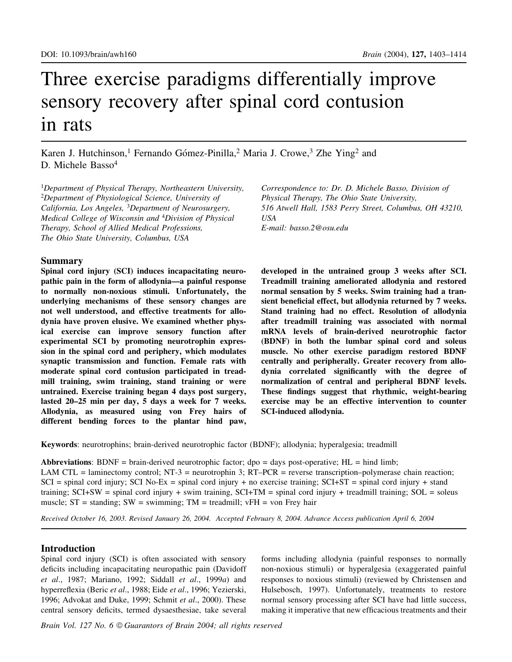# Three exercise paradigms differentially improve sensory recovery after spinal cord contusion in rats

Karen J. Hutchinson,<sup>1</sup> Fernando Gómez-Pinilla,<sup>2</sup> Maria J. Crowe,<sup>3</sup> Zhe Ying<sup>2</sup> and D. Michele Basso<sup>4</sup>

<sup>1</sup>Department of Physical Therapy, Northeastern University,  $2$ Department of Physiological Science, University of California, Los Angeles, <sup>3</sup>Department of Neurosurgery, Medical College of Wisconsin and <sup>4</sup>Division of Physical Therapy, School of Allied Medical Professions, The Ohio State University, Columbus, USA

## Summary

Spinal cord injury (SCI) induces incapacitating neuropathic pain in the form of allodynia-a painful response to normally non-noxious stimuli. Unfortunately, the underlying mechanisms of these sensory changes are not well understood, and effective treatments for allodynia have proven elusive. We examined whether physical exercise can improve sensory function after experimental SCI by promoting neurotrophin expression in the spinal cord and periphery, which modulates synaptic transmission and function. Female rats with moderate spinal cord contusion participated in treadmill training, swim training, stand training or were untrained. Exercise training began 4 days post surgery, lasted 20-25 min per day, 5 days a week for 7 weeks. Allodynia, as measured using von Frey hairs of different bending forces to the plantar hind paw,

Correspondence to: Dr. D. Michele Basso, Division of Physical Therapy, The Ohio State University, 516 Atwell Hall, 1583 Perry Street, Columbus, OH 43210, USA E-mail: basso.2@osu.edu

developed in the untrained group 3 weeks after SCI. Treadmill training ameliorated allodynia and restored normal sensation by 5 weeks. Swim training had a transient beneficial effect, but allodynia returned by 7 weeks. Stand training had no effect. Resolution of allodynia after treadmill training was associated with normal mRNA levels of brain-derived neurotrophic factor (BDNF) in both the lumbar spinal cord and soleus muscle. No other exercise paradigm restored BDNF centrally and peripherally. Greater recovery from allodynia correlated significantly with the degree of normalization of central and peripheral BDNF levels. These findings suggest that rhythmic, weight-bearing exercise may be an effective intervention to counter SCI-induced allodynia.

Keywords: neurotrophins; brain-derived neurotrophic factor (BDNF); allodynia; hyperalgesia; treadmill

Abbreviations: BDNF = brain-derived neurotrophic factor; dpo = days post-operative;  $HL =$  hind limb; LAM CTL = laminectomy control; NT-3 = neurotrophin 3; RT-PCR = reverse transcription-polymerase chain reaction;  $SCI$  = spinal cord injury; SCI No-Ex = spinal cord injury + no exercise training; SCI+ST = spinal cord injury + stand training;  $SCI+SW =$  spinal cord injury + swim training,  $SCI+TM =$  spinal cord injury + treadmill training;  $SOL =$  soleus muscle;  $ST =$  standing;  $SW =$  swimming;  $TM =$  treadmill;  $vFH =$  von Frey hair

Received October 16, 2003. Revised January 26, 2004. Accepted February 8, 2004. Advance Access publication April 6, 2004

## Introduction

Spinal cord injury (SCI) is often associated with sensory deficits including incapacitating neuropathic pain (Davidoff et al., 1987; Mariano, 1992; Siddall et al., 1999a) and hyperreflexia (Beric et al., 1988; Eide et al., 1996; Yezierski, 1996; Advokat and Duke, 1999; Schmit et al., 2000). These central sensory deficits, termed dysaesthesiae, take several

forms including allodynia (painful responses to normally non-noxious stimuli) or hyperalgesia (exaggerated painful responses to noxious stimuli) (reviewed by Christensen and Hulsebosch, 1997). Unfortunately, treatments to restore normal sensory processing after SCI have had little success, making it imperative that new efficacious treatments and their

Brain Vol. 127 No. 6 © Guarantors of Brain 2004; all rights reserved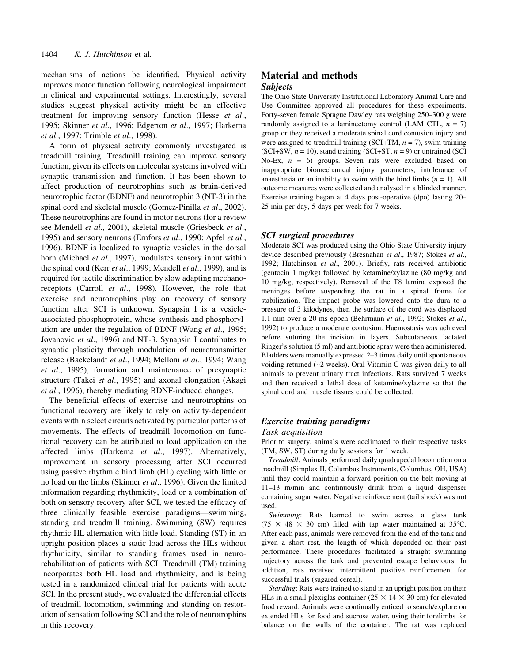mechanisms of actions be identified. Physical activity improves motor function following neurological impairment in clinical and experimental settings. Interestingly, several studies suggest physical activity might be an effective treatment for improving sensory function (Hesse et al., 1995; Skinner et al., 1996; Edgerton et al., 1997; Harkema et al., 1997; Trimble et al., 1998).

A form of physical activity commonly investigated is treadmill training. Treadmill training can improve sensory function, given its effects on molecular systems involved with synaptic transmission and function. It has been shown to affect production of neurotrophins such as brain-derived neurotrophic factor (BDNF) and neurotrophin 3 (NT-3) in the spinal cord and skeletal muscle (Gomez-Pinilla et al., 2002). These neurotrophins are found in motor neurons (for a review see Mendell et al., 2001), skeletal muscle (Griesbeck et al., 1995) and sensory neurons (Ernfors et al., 1990; Apfel et al., 1996). BDNF is localized to synaptic vesicles in the dorsal horn (Michael et al., 1997), modulates sensory input within the spinal cord (Kerr et al., 1999; Mendell et al., 1999), and is required for tactile discrimination by slow adapting mechanoreceptors (Carroll *et al.*, 1998). However, the role that exercise and neurotrophins play on recovery of sensory function after SCI is unknown. Synapsin I is a vesicleassociated phosphoprotein, whose synthesis and phosphorylation are under the regulation of BDNF (Wang et al., 1995; Jovanovic et al., 1996) and NT-3. Synapsin I contributes to synaptic plasticity through modulation of neurotransmitter release (Baekelandt et al., 1994; Melloni et al., 1994; Wang et al., 1995), formation and maintenance of presynaptic structure (Takei et al., 1995) and axonal elongation (Akagi et al., 1996), thereby mediating BDNF-induced changes.

The beneficial effects of exercise and neurotrophins on functional recovery are likely to rely on activity-dependent events within select circuits activated by particular patterns of movements. The effects of treadmill locomotion on functional recovery can be attributed to load application on the affected limbs (Harkema et al., 1997). Alternatively, improvement in sensory processing after SCI occurred using passive rhythmic hind limb (HL) cycling with little or no load on the limbs (Skinner et al., 1996). Given the limited information regarding rhythmicity, load or a combination of both on sensory recovery after SCI, we tested the efficacy of three clinically feasible exercise paradigms—swimming, standing and treadmill training. Swimming (SW) requires rhythmic HL alternation with little load. Standing (ST) in an upright position places a static load across the HLs without rhythmicity, similar to standing frames used in neurorehabilitation of patients with SCI. Treadmill (TM) training incorporates both HL load and rhythmicity, and is being tested in a randomized clinical trial for patients with acute SCI. In the present study, we evaluated the differential effects of treadmill locomotion, swimming and standing on restoration of sensation following SCI and the role of neurotrophins in this recovery.

# Material and methods Subjects

The Ohio State University Institutional Laboratory Animal Care and Use Committee approved all procedures for these experiments. Forty-seven female Sprague Dawley rats weighing 250-300 g were randomly assigned to a laminectomy control (LAM CTL,  $n = 7$ ) group or they received a moderate spinal cord contusion injury and were assigned to treadmill training (SCI+TM,  $n = 7$ ), swim training (SCI+SW,  $n = 10$ ), stand training (SCI+ST,  $n = 9$ ) or untrained (SCI No-Ex,  $n = 6$ ) groups. Seven rats were excluded based on inappropriate biomechanical injury parameters, intolerance of anaesthesia or an inability to swim with the hind limbs  $(n = 1)$ . All outcome measures were collected and analysed in a blinded manner. Exercise training began at 4 days post-operative (dpo) lasting 20– 25 min per day, 5 days per week for 7 weeks.

#### SCI surgical procedures

Moderate SCI was produced using the Ohio State University injury device described previously (Bresnahan et al., 1987; Stokes et al., 1992; Hutchinson et al., 2001). Briefly, rats received antibiotic (gentocin 1 mg/kg) followed by ketamine/xylazine (80 mg/kg and 10 mg/kg, respectively). Removal of the T8 lamina exposed the meninges before suspending the rat in a spinal frame for stabilization. The impact probe was lowered onto the dura to a pressure of 3 kilodynes, then the surface of the cord was displaced 1.1 mm over a 20 ms epoch (Behrmann et al., 1992; Stokes et al., 1992) to produce a moderate contusion. Haemostasis was achieved before suturing the incision in layers. Subcutaneous lactated Ringer's solution (5 ml) and antibiotic spray were then administered. Bladders were manually expressed 2-3 times daily until spontaneous voiding returned (~2 weeks). Oral Vitamin C was given daily to all animals to prevent urinary tract infections. Rats survived 7 weeks and then received a lethal dose of ketamine/xylazine so that the spinal cord and muscle tissues could be collected.

### Exercise training paradigms

#### Task acquisition

Prior to surgery, animals were acclimated to their respective tasks (TM, SW, ST) during daily sessions for 1 week.

Treadmill: Animals performed daily quadrupedal locomotion on a treadmill (Simplex II, Columbus Instruments, Columbus, OH, USA) until they could maintain a forward position on the belt moving at 11±13 m/min and continuously drink from a liquid dispenser containing sugar water. Negative reinforcement (tail shock) was not used.

Swimming: Rats learned to swim across a glass tank  $(75 \times 48 \times 30$  cm) filled with tap water maintained at 35°C. After each pass, animals were removed from the end of the tank and given a short rest, the length of which depended on their past performance. These procedures facilitated a straight swimming trajectory across the tank and prevented escape behaviours. In addition, rats received intermittent positive reinforcement for successful trials (sugared cereal).

Standing: Rats were trained to stand in an upright position on their HLs in a small plexiglas container ( $25 \times 14 \times 30$  cm) for elevated food reward. Animals were continually enticed to search/explore on extended HLs for food and sucrose water, using their forelimbs for balance on the walls of the container. The rat was replaced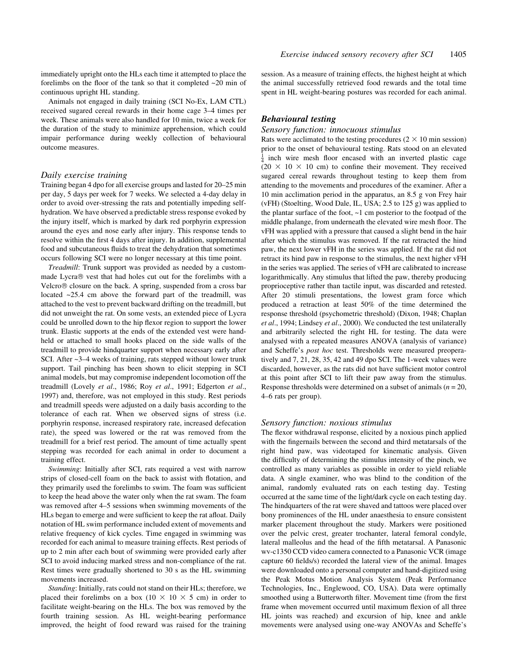immediately upright onto the HLs each time it attempted to place the forelimbs on the floor of the tank so that it completed  $\sim$ 20 min of continuous upright HL standing.

Animals not engaged in daily training (SCI No-Ex, LAM CTL) received sugared cereal rewards in their home cage 3–4 times per week. These animals were also handled for 10 min, twice a week for the duration of the study to minimize apprehension, which could impair performance during weekly collection of behavioural outcome measures.

#### Daily exercise training

Training began 4 dpo for all exercise groups and lasted for 20–25 min per day, 5 days per week for 7 weeks. We selected a 4-day delay in order to avoid over-stressing the rats and potentially impeding selfhydration. We have observed a predictable stress response evoked by the injury itself, which is marked by dark red porphyrin expression around the eyes and nose early after injury. This response tends to resolve within the first 4 days after injury. In addition, supplemental food and subcutaneous fluids to treat the dehydration that sometimes occurs following SCI were no longer necessary at this time point.

Treadmill: Trunk support was provided as needed by a custommade Lycra® vest that had holes cut out for the forelimbs with a Velcro<sup>®</sup> closure on the back. A spring, suspended from a cross bar located ~25.4 cm above the forward part of the treadmill, was attached to the vest to prevent backward drifting on the treadmill, but did not unweight the rat. On some vests, an extended piece of Lycra could be unrolled down to the hip flexor region to support the lower trunk. Elastic supports at the ends of the extended vest were handheld or attached to small hooks placed on the side walls of the treadmill to provide hindquarter support when necessary early after SCI. After  $\sim$ 3 $-4$  weeks of training, rats stepped without lower trunk support. Tail pinching has been shown to elicit stepping in SCI animal models, but may compromise independent locomotion off the treadmill (Lovely et al., 1986; Roy et al., 1991; Edgerton et al., 1997) and, therefore, was not employed in this study. Rest periods and treadmill speeds were adjusted on a daily basis according to the tolerance of each rat. When we observed signs of stress (i.e. porphyrin response, increased respiratory rate, increased defecation rate), the speed was lowered or the rat was removed from the treadmill for a brief rest period. The amount of time actually spent stepping was recorded for each animal in order to document a training effect.

Swimming: Initially after SCI, rats required a vest with narrow strips of closed-cell foam on the back to assist with flotation, and they primarily used the forelimbs to swim. The foam was sufficient to keep the head above the water only when the rat swam. The foam was removed after 4-5 sessions when swimming movements of the HLs began to emerge and were sufficient to keep the rat afloat. Daily notation of HL swim performance included extent of movements and relative frequency of kick cycles. Time engaged in swimming was recorded for each animal to measure training effects. Rest periods of up to 2 min after each bout of swimming were provided early after SCI to avoid inducing marked stress and non-compliance of the rat. Rest times were gradually shortened to 30 s as the HL swimming movements increased.

Standing: Initially, rats could not stand on their HLs; therefore, we placed their forelimbs on a box (10  $\times$  10  $\times$  5 cm) in order to facilitate weight-bearing on the HLs. The box was removed by the fourth training session. As HL weight-bearing performance improved, the height of food reward was raised for the training session. As a measure of training effects, the highest height at which the animal successfully retrieved food rewards and the total time spent in HL weight-bearing postures was recorded for each animal.

#### Behavioural testing

#### Sensory function: innocuous stimulus

Rats were acclimated to the testing procedures  $(2 \times 10 \text{ min} \text{ session})$ prior to the onset of behavioural testing. Rats stood on an elevated  $\frac{1}{4}$  inch wire mesh floor encased with an inverted plastic cage  $(20 \times 10 \times 10 \text{ cm})$  to confine their movement. They received sugared cereal rewards throughout testing to keep them from attending to the movements and procedures of the examiner. After a 10 min acclimation period in the apparatus, an 8.5 g von Frey hair (vFH) (Stoelting, Wood Dale, IL, USA; 2.5 to 125 g) was applied to the plantar surface of the foot, ~1 cm posterior to the footpad of the middle phalange, from underneath the elevated wire mesh floor. The vFH was applied with a pressure that caused a slight bend in the hair after which the stimulus was removed. If the rat retracted the hind paw, the next lower vFH in the series was applied. If the rat did not retract its hind paw in response to the stimulus, the next higher vFH in the series was applied. The series of vFH are calibrated to increase logarithmically. Any stimulus that lifted the paw, thereby producing proprioceptive rather than tactile input, was discarded and retested. After 20 stimuli presentations, the lowest gram force which produced a retraction at least 50% of the time determined the response threshold (psychometric threshold) (Dixon, 1948; Chaplan et al., 1994; Lindsey et al., 2000). We conducted the test unilaterally and arbitrarily selected the right HL for testing. The data were analysed with a repeated measures ANOVA (analysis of variance) and Scheffe's post hoc test. Thresholds were measured preoperatively and 7, 21, 28, 35, 42 and 49 dpo SCI. The 1-week values were discarded, however, as the rats did not have sufficient motor control at this point after SCI to lift their paw away from the stimulus. Response thresholds were determined on a subset of animals ( $n = 20$ , 4-6 rats per group).

#### Sensory function: noxious stimulus

The flexor withdrawal response, elicited by a noxious pinch applied with the fingernails between the second and third metatarsals of the right hind paw, was videotaped for kinematic analysis. Given the difficulty of determining the stimulus intensity of the pinch, we controlled as many variables as possible in order to yield reliable data. A single examiner, who was blind to the condition of the animal, randomly evaluated rats on each testing day. Testing occurred at the same time of the light/dark cycle on each testing day. The hindquarters of the rat were shaved and tattoos were placed over bony prominences of the HL under anaesthesia to ensure consistent marker placement throughout the study. Markers were positioned over the pelvic crest, greater trochanter, lateral femoral condyle, lateral malleolus and the head of the fifth metatarsal. A Panasonic wv-c1350 CCD video camera connected to a Panasonic VCR (image capture 60 fields/s) recorded the lateral view of the animal. Images were downloaded onto a personal computer and hand-digitized using the Peak Motus Motion Analysis System (Peak Performance Technologies, Inc., Englewood, CO, USA). Data were optimally smoothed using a Butterworth filter. Movement time (from the first frame when movement occurred until maximum flexion of all three HL joints was reached) and excursion of hip, knee and ankle movements were analysed using one-way ANOVAs and Scheffe's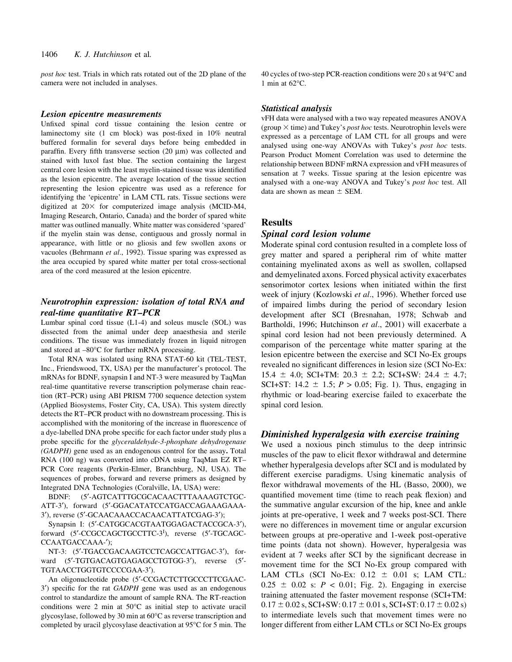post hoc test. Trials in which rats rotated out of the 2D plane of the camera were not included in analyses.

#### Lesion epicentre measurements

Unfixed spinal cord tissue containing the lesion centre or laminectomy site (1 cm block) was post-fixed in 10% neutral buffered formalin for several days before being embedded in paraffin. Every fifth transverse section  $(20 \mu m)$  was collected and stained with luxol fast blue. The section containing the largest central core lesion with the least myelin-stained tissue was identified as the lesion epicentre. The average location of the tissue section representing the lesion epicentre was used as a reference for identifying the `epicentre' in LAM CTL rats. Tissue sections were digitized at  $20\times$  for computerized image analysis (MCID-M4, Imaging Research, Ontario, Canada) and the border of spared white matter was outlined manually. White matter was considered `spared' if the myelin stain was dense, contiguous and grossly normal in appearance, with little or no gliosis and few swollen axons or vacuoles (Behrmann et al., 1992). Tissue sparing was expressed as the area occupied by spared white matter per total cross-sectional area of the cord measured at the lesion epicentre.

## Neurotrophin expression: isolation of total RNA and real-time quantitative RT-PCR

Lumbar spinal cord tissue (L1-4) and soleus muscle (SOL) was dissected from the animal under deep anaesthesia and sterile conditions. The tissue was immediately frozen in liquid nitrogen and stored at  $-80^{\circ}$ C for further mRNA processing.

Total RNA was isolated using RNA STAT-60 kit (TEL-TEST, Inc., Friendswood, TX, USA) per the manufacturer's protocol. The mRNAs for BDNF, synapsin I and NT-3 were measured by TaqMan real-time quantitative reverse transcription polymerase chain reaction (RT-PCR) using ABI PRISM 7700 sequence detection system (Applied Biosystems, Foster City, CA, USA). This system directly detects the RT-PCR product with no downstream processing. This is accomplished with the monitoring of the increase in fluorescence of a dye-labelled DNA probe specific for each factor under study plus a probe specific for the glyceraldehyde-3-phosphate dehydrogenase (GADPH) gene used as an endogenous control for the assay. Total RNA (100 ng) was converted into cDNA using TaqMan EZ RT-PCR Core reagents (Perkin-Elmer, Branchburg, NJ, USA). The sequences of probes, forward and reverse primers as designed by Integrated DNA Technologies (Coralville, IA, USA) were:

BDNF: (5¢-AGTCATTTGCGCACAACTTTAAAAGTCTGC-ATT-3'), forward (5'-GGACATATCCATGACCAGAAAGAAA-3'), reverse (5'-GCAACAAACCACAACATTATCGAG-3');

Synapsin I: (5'-CATGGCACGTAATGGAGACTACCGCA-3'), forward (5'-CCGCCAGCTGCCTTC-3<sup>1</sup>), reverse (5'-TGCAGC-CCAATGACCAAA-');

NT-3: (5'-TGACCGACAAGTCCTCAGCCATTGAC-3'), forward (5'-TGTGACAGTGAGAGCCTGTGG-3'), reverse (5'-TGTAACCTGGTGTCCCCGAA-3').

An oligonucleotide probe (5'-CCGACTCTTGCCCTTCGAAC-3') specific for the rat GADPH gene was used as an endogenous control to standardize the amount of sample RNA. The RT-reaction conditions were 2 min at 50°C as initial step to activate uracil glycosylase, followed by 30 min at 60°C as reverse transcription and completed by uracil glycosylase deactivation at 95°C for 5 min. The

40 cycles of two-step PCR-reaction conditions were 20 s at 94°C and 1 min at  $62^{\circ}$ C.

#### Statistical analysis

vFH data were analysed with a two way repeated measures ANOVA (group  $\times$  time) and Tukey's *post hoc* tests. Neurotrophin levels were expressed as a percentage of LAM CTL for all groups and were analysed using one-way ANOVAs with Tukey's post hoc tests. Pearson Product Moment Correlation was used to determine the relationship between BDNF mRNA expression and vFH measures of sensation at 7 weeks. Tissue sparing at the lesion epicentre was analysed with a one-way ANOVA and Tukey's post hoc test. All data are shown as mean  $\pm$  SEM.

## Results

## Spinal cord lesion volume

Moderate spinal cord contusion resulted in a complete loss of grey matter and spared a peripheral rim of white matter containing myelinated axons as well as swollen, collapsed and demyelinated axons. Forced physical activity exacerbates sensorimotor cortex lesions when initiated within the first week of injury (Kozlowski et al., 1996). Whether forced use of impaired limbs during the period of secondary lesion development after SCI (Bresnahan, 1978; Schwab and Bartholdi, 1996; Hutchinson et al., 2001) will exacerbate a spinal cord lesion had not been previously determined. A comparison of the percentage white matter sparing at the lesion epicentre between the exercise and SCI No-Ex groups revealed no significant differences in lesion size (SCI No-Ex:  $15.4 \pm 4.0$ ; SCI+TM:  $20.3 \pm 2.2$ ; SCI+SW:  $24.4 \pm 4.7$ ; SCI+ST:  $14.2 \pm 1.5$ ;  $P > 0.05$ ; Fig. 1). Thus, engaging in rhythmic or load-bearing exercise failed to exacerbate the spinal cord lesion.

## Diminished hyperalgesia with exercise training

We used a noxious pinch stimulus to the deep intrinsic muscles of the paw to elicit flexor withdrawal and determine whether hyperalgesia develops after SCI and is modulated by different exercise paradigms. Using kinematic analysis of flexor withdrawal movements of the HL (Basso, 2000), we quantified movement time (time to reach peak flexion) and the summative angular excursion of the hip, knee and ankle joints at pre-operative, 1 week and 7 weeks post-SCI. There were no differences in movement time or angular excursion between groups at pre-operative and 1-week post-operative time points (data not shown). However, hyperalgesia was evident at 7 weeks after SCI by the significant decrease in movement time for the SCI No-Ex group compared with LAM CTLs (SCI No-Ex:  $0.12 \pm 0.01$  s; LAM CTL:  $0.25 \pm 0.02$  s:  $P < 0.01$ ; Fig. 2). Engaging in exercise training attenuated the faster movement response (SCI+TM:  $0.17 \pm 0.02$  s, SCI+SW:  $0.17 \pm 0.01$  s, SCI+ST:  $0.17 \pm 0.02$  s) to intermediate levels such that movement times were no longer different from either LAM CTLs or SCI No-Ex groups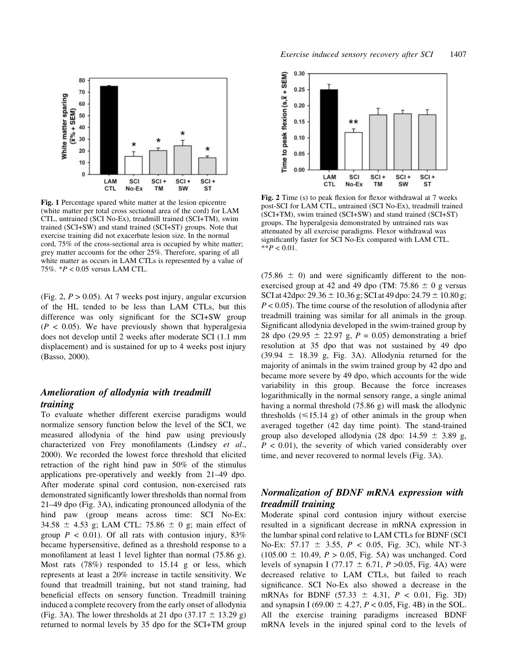

Fig. 1 Percentage spared white matter at the lesion epicentre (white matter per total cross sectional area of the cord) for LAM CTL, untrained (SCI No-Ex), treadmill trained (SCI+TM), swim trained (SCI+SW) and stand trained (SCI+ST) groups. Note that exercise training did not exacerbate lesion size. In the normal cord, 75% of the cross-sectional area is occupied by white matter; grey matter accounts for the other 25%. Therefore, sparing of all white matter as occurs in LAM CTLs is represented by a value of 75%. \*P < 0.05 versus LAM CTL.

(Fig. 2,  $P > 0.05$ ). At 7 weeks post injury, angular excursion of the HL tended to be less than LAM CTLs, but this difference was only significant for the SCI+SW group  $(P < 0.05)$ . We have previously shown that hyperalgesia does not develop until 2 weeks after moderate SCI (1.1 mm displacement) and is sustained for up to 4 weeks post injury (Basso, 2000).

# Amelioration of allodynia with treadmill training

To evaluate whether different exercise paradigms would normalize sensory function below the level of the SCI, we measured allodynia of the hind paw using previously characterized von Frey monofilaments (Lindsey et al., 2000). We recorded the lowest force threshold that elicited retraction of the right hind paw in 50% of the stimulus applications pre-operatively and weekly from 21-49 dpo. After moderate spinal cord contusion, non-exercised rats demonstrated significantly lower thresholds than normal from  $21-49$  dpo (Fig. 3A), indicating pronounced allodynia of the hind paw (group means across time: SCI No-Ex: 34.58  $\pm$  4.53 g; LAM CTL: 75.86  $\pm$  0 g; main effect of group  $P < 0.01$ ). Of all rats with contusion injury, 83% became hypersensitive, defined as a threshold response to a monofilament at least 1 level lighter than normal  $(75.86 \text{ g})$ . Most rats (78%) responded to 15.14 g or less, which represents at least a 20% increase in tactile sensitivity. We found that treadmill training, but not stand training, had beneficial effects on sensory function. Treadmill training induced a complete recovery from the early onset of allodynia (Fig. 3A). The lower thresholds at 21 dpo  $(37.17 \pm 13.29 \text{ g})$ returned to normal levels by 35 dpo for the SCI+TM group



Fig. 2 Time  $(s)$  to peak flexion for flexor withdrawal at 7 weeks post-SCI for LAM CTL, untrained (SCI No-Ex), treadmill trained (SCI+TM), swim trained (SCI+SW) and stand trained (SCI+ST) groups. The hyperalgesia demonstrated by untrained rats was attenuated by all exercise paradigms. Flexor withdrawal was significantly faster for SCI No-Ex compared with LAM CTL.  $*$  $P < 0.01$ .

 $(75.86 \pm 0)$  and were significantly different to the nonexercised group at 42 and 49 dpo (TM:  $75.86 \pm 0$  g versus SCI at 42dpo:  $29.36 \pm 10.36$  g; SCI at 49 dpo:  $24.79 \pm 10.80$  g;  $P < 0.05$ ). The time course of the resolution of allodynia after treadmill training was similar for all animals in the group. Significant allodynia developed in the swim-trained group by 28 dpo (29.95  $\pm$  22.97 g, P = 0.05) demonstrating a brief resolution at 35 dpo that was not sustained by 49 dpo  $(39.94 \pm 18.39 \text{ g}, \text{Fig. 3A}).$  Allodynia returned for the majority of animals in the swim trained group by 42 dpo and became more severe by 49 dpo, which accounts for the wide variability in this group. Because the force increases logarithmically in the normal sensory range, a single animal having a normal threshold (75.86 g) will mask the allodynic thresholds  $(\leq 15.14 \text{ g})$  of other animals in the group when averaged together (42 day time point). The stand-trained group also developed allodynia (28 dpo:  $14.59 \pm 3.89$  g,  $P < 0.01$ ), the severity of which varied considerably over time, and never recovered to normal levels (Fig. 3A).

# Normalization of BDNF mRNA expression with treadmill training

Moderate spinal cord contusion injury without exercise resulted in a significant decrease in mRNA expression in the lumbar spinal cord relative to LAM CTLs for BDNF (SCI No-Ex: 57.17  $\pm$  3.55, P < 0.05, Fig. 3C), while NT-3  $(105.00 \pm 10.49, P > 0.05, Fig. 5A)$  was unchanged. Cord levels of synapsin I (77.17  $\pm$  6.71, P >0.05, Fig. 4A) were decreased relative to LAM CTLs, but failed to reach significance. SCI No-Ex also showed a decrease in the mRNAs for BDNF  $(57.33 \pm 4.31, P < 0.01, Fig. 3D)$ and synapsin I (69.00  $\pm$  4.27, P < 0.05, Fig. 4B) in the SOL. All the exercise training paradigms increased BDNF mRNA levels in the injured spinal cord to the levels of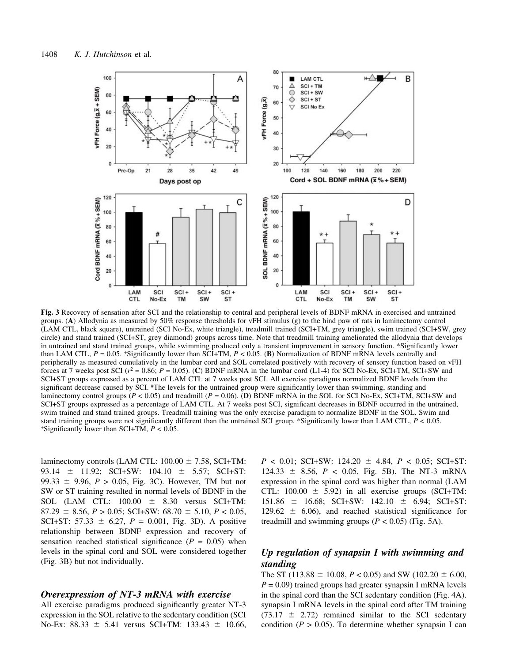

Fig. 3 Recovery of sensation after SCI and the relationship to central and peripheral levels of BDNF mRNA in exercised and untrained groups. (A) Allodynia as measured by 50% response thresholds for vFH stimulus (g) to the hind paw of rats in laminectomy control (LAM CTL, black square), untrained (SCI No-Ex, white triangle), treadmill trained (SCI+TM, grey triangle), swim trained (SCI+SW, grey circle) and stand trained (SCI+ST, grey diamond) groups across time. Note that treadmill training ameliorated the allodynia that develops in untrained and stand trained groups, while swimming produced only a transient improvement in sensory function. \*Significantly lower than LAM CTL,  $P = 0.05$ . \*Significantly lower than SCI+TM,  $P < 0.05$ . (B) Normalization of BDNF mRNA levels centrally and peripherally as measured cumulatively in the lumbar cord and SOL correlated positively with recovery of sensory function based on vFH forces at 7 weeks post SCI ( $r^2 = 0.86$ ;  $P = 0.05$ ). (C) BDNF mRNA in the lumbar cord (L1-4) for SCI No-Ex, SCI+TM, SCI+SW and SCI+ST groups expressed as a percent of LAM CTL at 7 weeks post SCI. All exercise paradigms normalized BDNF levels from the significant decrease caused by SCI. #The levels for the untrained group were significantly lower than swimming, standing and laminectomy control groups ( $P < 0.05$ ) and treadmill ( $P = 0.06$ ). (D) BDNF mRNA in the SOL for SCI No-Ex, SCI+TM, SCI+SW and SCI+ST groups expressed as a percentage of LAM CTL. At 7 weeks post SCI, significant decreases in BDNF occurred in the untrained, swim trained and stand trained groups. Treadmill training was the only exercise paradigm to normalize BDNF in the SOL. Swim and stand training groups were not significantly different than the untrained SCI group. \*Significantly lower than LAM CTL,  $P < 0.05$ .  $+$ Significantly lower than SCI+TM,  $P < 0.05$ .

laminectomy controls (LAM CTL:  $100.00 \pm 7.58$ , SCI+TM: 93.14  $\pm$  11.92; SCI+SW: 104.10  $\pm$  5.57; SCI+ST: 99.33  $\pm$  9.96, P > 0.05, Fig. 3C). However, TM but not SW or ST training resulted in normal levels of BDNF in the SOL (LAM CTL:  $100.00 \pm 8.30$  versus SCI+TM:  $87.29 \pm 8.56$ ,  $P > 0.05$ ; SCI+SW:  $68.70 \pm 5.10$ ,  $P < 0.05$ , SCI+ST: 57.33  $\pm$  6.27, P = 0.001, Fig. 3D). A positive relationship between BDNF expression and recovery of sensation reached statistical significance ( $P = 0.05$ ) when levels in the spinal cord and SOL were considered together (Fig. 3B) but not individually.

### Overexpression of NT-3 mRNA with exercise

All exercise paradigms produced significantly greater NT-3 expression in the SOL relative to the sedentary condition (SCI No-Ex: 88.33  $\pm$  5.41 versus SCI+TM: 133.43  $\pm$  10.66,

 $P < 0.01$ ; SCI+SW: 124.20  $\pm$  4.84,  $P < 0.05$ ; SCI+ST:  $124.33 \pm 8.56$ ,  $P < 0.05$ , Fig. 5B). The NT-3 mRNA expression in the spinal cord was higher than normal (LAM CTL:  $100.00 \pm 5.92$ ) in all exercise groups (SCI+TM:  $151.86 \pm 16.68$ ; SCI+SW:  $142.10 \pm 6.94$ ; SCI+ST: 129.62  $\pm$  6.06), and reached statistical significance for treadmill and swimming groups  $(P < 0.05)$  (Fig. 5A).

# Up regulation of synapsin I with swimming and standing

The ST (113.88  $\pm$  10.08, P < 0.05) and SW (102.20  $\pm$  6.00,  $P = 0.09$ ) trained groups had greater synapsin I mRNA levels in the spinal cord than the SCI sedentary condition (Fig. 4A). synapsin I mRNA levels in the spinal cord after TM training  $(73.17 \pm 2.72)$  remained similar to the SCI sedentary condition ( $P > 0.05$ ). To determine whether synapsin I can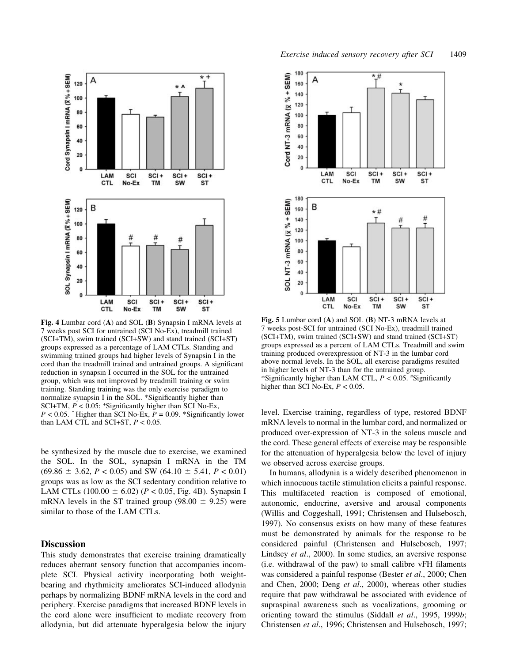

Fig. 4 Lumbar cord (A) and SOL (B) Synapsin I mRNA levels at 7 weeks post SCI for untrained (SCI No-Ex), treadmill trained (SCI+TM), swim trained (SCI+SW) and stand trained (SCI+ST) groups expressed as a percentage of LAM CTLs. Standing and swimming trained groups had higher levels of Synapsin I in the cord than the treadmill trained and untrained groups. A significant reduction in synapsin I occurred in the SOL for the untrained group, which was not improved by treadmill training or swim training. Standing training was the only exercise paradigm to normalize synapsin I in the SOL. \*Significantly higher than SCI+TM,  $P < 0.05$ ; +Significantly higher than SCI No-Ex,  $P < 0.05$ .  $\hat{ }$  Higher than SCI No-Ex,  $P = 0.09$ . \*Significantly lower than LAM CTL and SCI+ST,  $P < 0.05$ .

be synthesized by the muscle due to exercise, we examined the SOL. In the SOL, synapsin I mRNA in the TM  $(69.86 \pm 3.62, P < 0.05)$  and SW  $(64.10 \pm 5.41, P < 0.01)$ groups was as low as the SCI sedentary condition relative to LAM CTLs (100.00  $\pm$  6.02) (P < 0.05, Fig. 4B). Synapsin I mRNA levels in the ST trained group (98.00  $\pm$  9.25) were similar to those of the LAM CTLs.

#### **Discussion**

This study demonstrates that exercise training dramatically reduces aberrant sensory function that accompanies incomplete SCI. Physical activity incorporating both weightbearing and rhythmicity ameliorates SCI-induced allodynia perhaps by normalizing BDNF mRNA levels in the cord and periphery. Exercise paradigms that increased BDNF levels in the cord alone were insufficient to mediate recovery from allodynia, but did attenuate hyperalgesia below the injury



Fig. 5 Lumbar cord (A) and SOL (B) NT-3 mRNA levels at 7 weeks post-SCI for untrained (SCI No-Ex), treadmill trained (SCI+TM), swim trained (SCI+SW) and stand trained (SCI+ST) groups expressed as a percent of LAM CTLs. Treadmill and swim training produced overexpression of NT-3 in the lumbar cord above normal levels. In the SOL, all exercise paradigms resulted in higher levels of NT-3 than for the untrained group. \*Significantly higher than LAM CTL,  $P < 0.05$ . #Significantly higher than SCI No-Ex,  $P < 0.05$ .

level. Exercise training, regardless of type, restored BDNF mRNA levels to normal in the lumbar cord, and normalized or produced over-expression of NT-3 in the soleus muscle and the cord. These general effects of exercise may be responsible for the attenuation of hyperalgesia below the level of injury we observed across exercise groups.

In humans, allodynia is a widely described phenomenon in which innocuous tactile stimulation elicits a painful response. This multifaceted reaction is composed of emotional, autonomic, endocrine, aversive and arousal components (Willis and Coggeshall, 1991; Christensen and Hulsebosch, 1997). No consensus exists on how many of these features must be demonstrated by animals for the response to be considered painful (Christensen and Hulsebosch, 1997; Lindsey et al., 2000). In some studies, an aversive response  $(i.e.$  withdrawal of the paw) to small calibre vFH filaments was considered a painful response (Bester et al., 2000; Chen and Chen, 2000; Deng et al., 2000), whereas other studies require that paw withdrawal be associated with evidence of supraspinal awareness such as vocalizations, grooming or orienting toward the stimulus (Siddall et al., 1995, 1999b; Christensen et al., 1996; Christensen and Hulsebosch, 1997;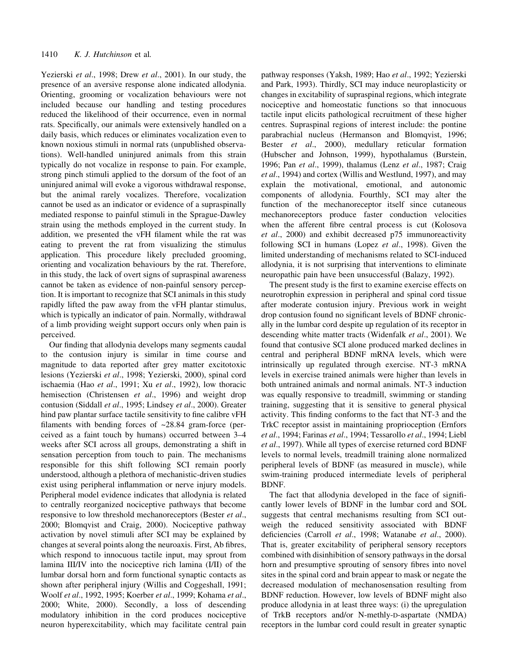Yezierski et al., 1998; Drew et al., 2001). In our study, the presence of an aversive response alone indicated allodynia. Orienting, grooming or vocalization behaviours were not included because our handling and testing procedures reduced the likelihood of their occurrence, even in normal rats. Specifically, our animals were extensively handled on a daily basis, which reduces or eliminates vocalization even to known noxious stimuli in normal rats (unpublished observations). Well-handled uninjured animals from this strain typically do not vocalize in response to pain. For example, strong pinch stimuli applied to the dorsum of the foot of an uninjured animal will evoke a vigorous withdrawal response, but the animal rarely vocalizes. Therefore, vocalization cannot be used as an indicator or evidence of a supraspinally mediated response to painful stimuli in the Sprague-Dawley strain using the methods employed in the current study. In addition, we presented the vFH filament while the rat was eating to prevent the rat from visualizing the stimulus application. This procedure likely precluded grooming, orienting and vocalization behaviours by the rat. Therefore, in this study, the lack of overt signs of supraspinal awareness cannot be taken as evidence of non-painful sensory perception. It is important to recognize that SCI animals in this study rapidly lifted the paw away from the vFH plantar stimulus, which is typically an indicator of pain. Normally, withdrawal of a limb providing weight support occurs only when pain is perceived.

Our finding that allodynia develops many segments caudal to the contusion injury is similar in time course and magnitude to data reported after grey matter excitotoxic lesions (Yezierski et al., 1998; Yezierski, 2000), spinal cord ischaemia (Hao et al., 1991; Xu et al., 1992), low thoracic hemisection (Christensen *et al.*, 1996) and weight drop contusion (Siddall et al., 1995; Lindsey et al., 2000). Greater hind paw plantar surface tactile sensitivity to fine calibre vFH filaments with bending forces of  $\sim$ 28.84 gram-force (perceived as a faint touch by humans) occurred between  $3-4$ weeks after SCI across all groups, demonstrating a shift in sensation perception from touch to pain. The mechanisms responsible for this shift following SCI remain poorly understood, although a plethora of mechanistic-driven studies exist using peripheral inflammation or nerve injury models. Peripheral model evidence indicates that allodynia is related to centrally reorganized nociceptive pathways that become responsive to low threshold mechanoreceptors (Bester et al., 2000; Blomqvist and Craig, 2000). Nociceptive pathway activation by novel stimuli after SCI may be explained by changes at several points along the neuroaxis. First, Ab fibres, which respond to innocuous tactile input, may sprout from lamina III/IV into the nociceptive rich lamina (I/II) of the lumbar dorsal horn and form functional synaptic contacts as shown after peripheral injury (Willis and Coggeshall, 1991; Woolf et al., 1992, 1995; Koerber et al., 1999; Kohama et al., 2000; White, 2000). Secondly, a loss of descending modulatory inhibition in the cord produces nociceptive neuron hyperexcitability, which may facilitate central pain pathway responses (Yaksh, 1989; Hao et al., 1992; Yezierski and Park, 1993). Thirdly, SCI may induce neuroplasticity or changes in excitability of supraspinal regions, which integrate nociceptive and homeostatic functions so that innocuous tactile input elicits pathological recruitment of these higher centres. Supraspinal regions of interest include: the pontine parabrachial nucleus (Hermanson and Blomqvist, 1996; Bester et al., 2000), medullary reticular formation (Hubscher and Johnson, 1999), hypothalamus (Burstein, 1996; Pan et al., 1999), thalamus (Lenz et al., 1987; Craig et al., 1994) and cortex (Willis and Westlund, 1997), and may explain the motivational, emotional, and autonomic components of allodynia. Fourthly, SCI may alter the function of the mechanoreceptor itself since cutaneous mechanoreceptors produce faster conduction velocities when the afferent fibre central process is cut (Kolosova et al., 2000) and exhibit decreased p75 immunoreactivity following SCI in humans (Lopez et al., 1998). Given the limited understanding of mechanisms related to SCI-induced allodynia, it is not surprising that interventions to eliminate neuropathic pain have been unsuccessful (Balazy, 1992).

The present study is the first to examine exercise effects on neurotrophin expression in peripheral and spinal cord tissue after moderate contusion injury. Previous work in weight drop contusion found no significant levels of BDNF chronically in the lumbar cord despite up regulation of its receptor in descending white matter tracts (Widenfalk et al., 2001). We found that contusive SCI alone produced marked declines in central and peripheral BDNF mRNA levels, which were intrinsically up regulated through exercise. NT-3 mRNA levels in exercise trained animals were higher than levels in both untrained animals and normal animals. NT-3 induction was equally responsive to treadmill, swimming or standing training, suggesting that it is sensitive to general physical activity. This finding conforms to the fact that NT-3 and the TrkC receptor assist in maintaining proprioception (Ernfors et al., 1994; Farinas et al., 1994; Tessarollo et al., 1994; Liebl et al., 1997). While all types of exercise returned cord BDNF levels to normal levels, treadmill training alone normalized peripheral levels of BDNF (as measured in muscle), while swim-training produced intermediate levels of peripheral BDNF.

The fact that allodynia developed in the face of significantly lower levels of BDNF in the lumbar cord and SOL suggests that central mechanisms resulting from SCI outweigh the reduced sensitivity associated with BDNF deficiencies (Carroll et al., 1998; Watanabe et al., 2000). That is, greater excitability of peripheral sensory receptors combined with disinhibition of sensory pathways in the dorsal horn and presumptive sprouting of sensory fibres into novel sites in the spinal cord and brain appear to mask or negate the decreased modulation of mechanosensation resulting from BDNF reduction. However, low levels of BDNF might also produce allodynia in at least three ways: (i) the upregulation of TrkB receptors and/or N-methly-D-aspartate (NMDA) receptors in the lumbar cord could result in greater synaptic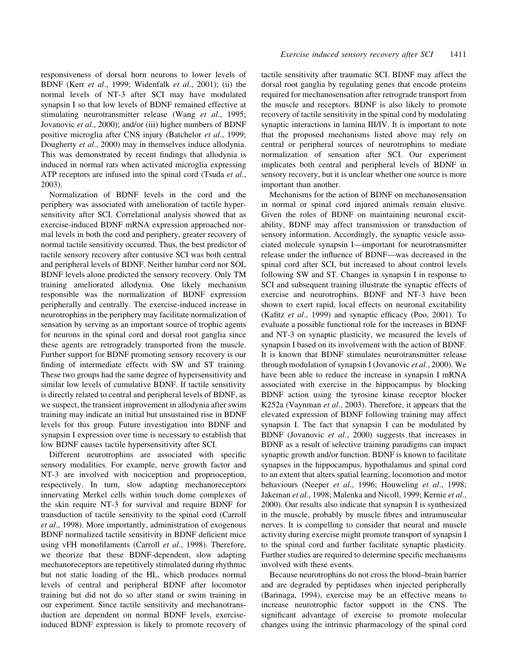responsiveness of dorsal horn neurons to lower levels of BDNF (Kerr et al., 1999; Widenfalk et al., 2001); (ii) the normal levels of NT-3 after SCI may have modulated synapsin I so that low levels of BDNF remained effective at stimulating neurotransmitter release (Wang et al., 1995; Jovanovic et al., 2000); and/or (iii) higher numbers of BDNF positive microglia after CNS injury (Batchelor et al., 1999; Dougherty et al., 2000) may in themselves induce allodynia. This was demonstrated by recent findings that allodynia is induced in normal rats when activated microglia expressing ATP receptors are infused into the spinal cord (Tsuda et al., 2003).

Normalization of BDNF levels in the cord and the periphery was associated with amelioration of tactile hypersensitivity after SCI. Correlational analysis showed that as exercise-induced BDNF mRNA expression approached normal levels in both the cord and periphery, greater recovery of normal tactile sensitivity occurred. Thus, the best predictor of tactile sensory recovery after contusive SCI was both central and peripheral levels of BDNF. Neither lumbar cord nor SOL BDNF levels alone predicted the sensory recovery. Only TM training ameliorated allodynia. One likely mechanism responsible was the normalization of BDNF expression peripherally and centrally. The exercise-induced increase in neurotrophins in the periphery may facilitate normalization of sensation by serving as an important source of trophic agents for neurons in the spinal cord and dorsal root ganglia since these agents are retrogradely transported from the muscle. Further support for BDNF promoting sensory recovery is our finding of intermediate effects with SW and ST training. These two groups had the same degree of hypersensitivity and similar low levels of cumulative BDNF. If tactile sensitivity is directly related to central and peripheral levels of BDNF, as we suspect, the transient improvement in allodynia after swim training may indicate an initial but unsustained rise in BDNF levels for this group. Future investigation into BDNF and synapsin I expression over time is necessary to establish that low BDNF causes tactile hypersensitivity after SCI.

Different neurotrophins are associated with specific sensory modalities. For example, nerve growth factor and NT-3 are involved with nociception and proprioception, respectively. In turn, slow adapting mechanoreceptors innervating Merkel cells within touch dome complexes of the skin require NT-3 for survival and require BDNF for transduction of tactile sensitivity to the spinal cord (Carroll et al., 1998). More importantly, administration of exogenous BDNF normalized tactile sensitivity in BDNF deficient mice using vFH monofilaments (Carroll et al., 1998). Therefore, we theorize that these BDNF-dependent, slow adapting mechanoreceptors are repetitively stimulated during rhythmic but not static loading of the HL, which produces normal levels of central and peripheral BDNF after locomotor training but did not do so after stand or swim training in our experiment. Since tactile sensitivity and mechanotransduction are dependent on normal BDNF levels, exerciseinduced BDNF expression is likely to promote recovery of tactile sensitivity after traumatic SCI. BDNF may affect the dorsal root ganglia by regulating genes that encode proteins required for mechanosensation after retrograde transport from the muscle and receptors. BDNF is also likely to promote recovery of tactile sensitivity in the spinal cord by modulating synaptic interactions in lamina III/IV. It is important to note that the proposed mechanisms listed above may rely on central or peripheral sources of neurotrophins to mediate normalization of sensation after SCI. Our experiment implicates both central and peripheral levels of BDNF in sensory recovery, but it is unclear whether one source is more important than another.

Mechanisms for the action of BDNF on mechanosensation in normal or spinal cord injured animals remain elusive. Given the roles of BDNF on maintaining neuronal excitability, BDNF may affect transmission or transduction of sensory information. Accordingly, the synaptic vesicle associated molecule synapsin I—important for neurotransmitter release under the influence of BDNF—was decreased in the spinal cord after SCI, but increased to about control levels following SW and ST. Changes in synapsin I in response to SCI and subsequent training illustrate the synaptic effects of exercise and neurotrophins. BDNF and NT-3 have been shown to exert rapid, local effects on neuronal excitability (Kafitz et al., 1999) and synaptic efficacy (Poo, 2001). To evaluate a possible functional role for the increases in BDNF and NT-3 on synaptic plasticity, we measured the levels of synapsin I based on its involvement with the action of BDNF. It is known that BDNF stimulates neurotransmitter release through modulation of synapsin I (Jovanovic et al., 2000). We have been able to reduce the increase in synapsin I mRNA associated with exercise in the hippocampus by blocking BDNF action using the tyrosine kinase receptor blocker K252a (Vaynman *et al.*, 2003). Therefore, it appears that the elevated expression of BDNF following training may affect synapsin I. The fact that synapsin I can be modulated by BDNF (Jovanovic et al., 2000) suggests that increases in BDNF as a result of selective training paradigms can impact synaptic growth and/or function. BDNF is known to facilitate synapses in the hippocampus, hypothalamus and spinal cord to an extent that alters spatial learning, locomotion and motor behaviours (Neeper et al., 1996; Houweling et al., 1998; Jakeman et al., 1998; Malenka and Nicoll, 1999; Kernie et al., 2000). Our results also indicate that synapsin I is synthesized in the muscle, probably by muscle fibres and intramuscular nerves. It is compelling to consider that neural and muscle activity during exercise might promote transport of synapsin I to the spinal cord and further facilitate synaptic plasticity. Further studies are required to determine specific mechanisms involved with these events.

Because neurotrophins do not cross the blood-brain barrier and are degraded by peptidases when injected peripherally (Barinaga, 1994), exercise may be an effective means to increase neurotrophic factor support in the CNS. The significant advantage of exercise to promote molecular changes using the intrinsic pharmacology of the spinal cord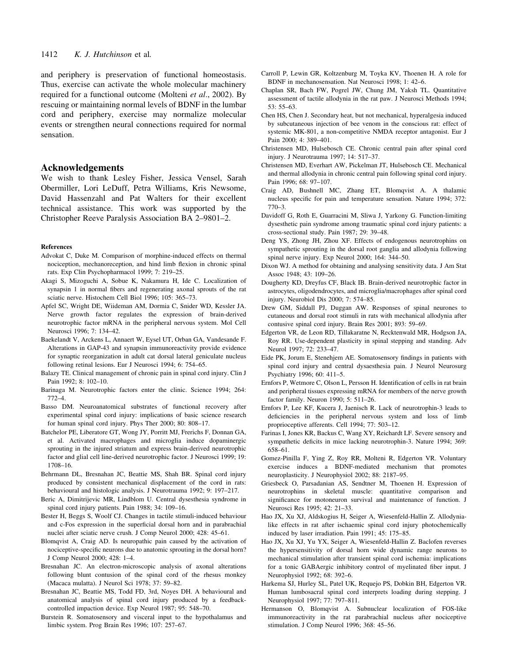and periphery is preservation of functional homeostasis. Thus, exercise can activate the whole molecular machinery required for a functional outcome (Molteni et al., 2002). By rescuing or maintaining normal levels of BDNF in the lumbar cord and periphery, exercise may normalize molecular events or strengthen neural connections required for normal sensation.

### Acknowledgements

We wish to thank Lesley Fisher, Jessica Vensel, Sarah Obermiller, Lori LeDuff, Petra Williams, Kris Newsome, David Hassenzahl and Pat Walters for their excellent technical assistance. This work was supported by the Christopher Reeve Paralysis Association BA 2–9801–2.

#### References

- Advokat C, Duke M. Comparison of morphine-induced effects on thermal nociception, mechanoreception, and hind limb flexion in chronic spinal rats. Exp Clin Psychopharmacol 1999; 7: 219-25.
- Akagi S, Mizoguchi A, Sobue K, Nakamura H, Ide C. Localization of synapsin 1 in normal fibers and regenerating axonal sprouts of the rat sciatic nerve. Histochem Cell Biol 1996; 105: 365-73.
- Apfel SC, Wright DE, Wiideman AM, Dormia C, Snider WD, Kessler JA. Nerve growth factor regulates the expression of brain-derived neurotrophic factor mRNA in the peripheral nervous system. Mol Cell Neurosci 1996; 7: 134-42.
- Baekelandt V, Arckens L, Annaert W, Eysel UT, Orban GA, Vandesande F. Alterations in GAP-43 and synapsin immunoreactivity provide evidence for synaptic reorganization in adult cat dorsal lateral geniculate nucleus following retinal lesions. Eur J Neurosci 1994; 6: 754-65.
- Balazy TE. Clinical management of chronic pain in spinal cord injury. Clin J Pain 1992; 8: 102-10.
- Barinaga M. Neurotrophic factors enter the clinic. Science 1994; 264: 772±4.
- Basso DM. Neuroanatomical substrates of functional recovery after experimental spinal cord injury: implications of basic science research for human spinal cord injury. Phys Ther 2000; 80: 808-17.
- Batchelor PE, Liberatore GT, Wong JY, Porritt MJ, Frerichs F, Donnan GA, et al. Activated macrophages and microglia induce dopaminergic sprouting in the injured striatum and express brain-derived neurotrophic factor and glial cell line-derived neurotrophic factor. J Neurosci 1999; 19: 1708±16.
- Behrmann DL, Bresnahan JC, Beattie MS, Shah BR. Spinal cord injury produced by consistent mechanical displacement of the cord in rats: behavioural and histologic analysis. J Neurotrauma 1992; 9: 197-217.
- Beric A, Dimitrijevic MR, Lindblom U. Central dysesthesia syndrome in spinal cord injury patients. Pain 1988; 34: 109-16.
- Bester H, Beggs S, Woolf CJ. Changes in tactile stimuli-induced behaviour and c-Fos expression in the superficial dorsal horn and in parabrachial nuclei after sciatic nerve crush. J Comp Neurol 2000; 428: 45-61.
- Blomqvist A, Craig AD. Is neuropathic pain caused by the activation of nociceptive-specific neurons due to anatomic sprouting in the dorsal horn? J Comp Neurol 2000; 428: 1-4.
- Bresnahan JC. An electron-microscopic analysis of axonal alterations following blunt contusion of the spinal cord of the rhesus monkey (Macaca mulatta). J Neurol Sci 1978; 37: 59-82.
- Bresnahan JC, Beattie MS, Todd FD, 3rd, Noyes DH. A behavioural and anatomical analysis of spinal cord injury produced by a feedbackcontrolled impaction device. Exp Neurol 1987; 95: 548-70.
- Burstein R. Somatosensory and visceral input to the hypothalamus and limbic system. Prog Brain Res 1996; 107: 257-67.
- Carroll P, Lewin GR, Koltzenburg M, Toyka KV, Thoenen H. A role for BDNF in mechanosensation. Nat Neurosci 1998; 1: 42-6.
- Chaplan SR, Bach FW, Pogrel JW, Chung JM, Yaksh TL. Quantitative assessment of tactile allodynia in the rat paw. J Neurosci Methods 1994;  $53: 55-63.$
- Chen HS, Chen J. Secondary heat, but not mechanical, hyperalgesia induced by subcutaneous injection of bee venom in the conscious rat: effect of systemic MK-801, a non-competitive NMDA receptor antagonist. Eur J Pain 2000: 4: 389-401.
- Christensen MD, Hulsebosch CE. Chronic central pain after spinal cord injury. J Neurotrauma 1997; 14: 517-37.
- Christensen MD, Everhart AW, Pickelman JT, Hulsebosch CE. Mechanical and thermal allodynia in chronic central pain following spinal cord injury. Pain 1996; 68: 97-107.
- Craig AD, Bushnell MC, Zhang ET, Blomqvist A. A thalamic nucleus specific for pain and temperature sensation. Nature 1994; 372:  $770 - 3.$
- Davidoff G, Roth E, Guarracini M, Sliwa J, Yarkony G. Function-limiting dysesthetic pain syndrome among traumatic spinal cord injury patients: a cross-sectional study. Pain 1987; 29: 39-48.
- Deng YS, Zhong JH, Zhou XF. Effects of endogenous neurotrophins on sympathetic sprouting in the dorsal root ganglia and allodynia following spinal nerve injury. Exp Neurol  $2000$ ;  $164: 344-50$ .
- Dixon WJ. A method for obtaining and analysing sensitivity data. J Am Stat Assoc 1948; 43: 109-26.
- Dougherty KD, Dreyfus CF, Black IB. Brain-derived neurotrophic factor in astrocytes, oligodendrocytes, and microglia/macrophages after spinal cord injury. Neurobiol Dis 2000; 7: 574-85.
- Drew GM, Siddall PJ, Duggan AW. Responses of spinal neurones to cutaneous and dorsal root stimuli in rats with mechanical allodynia after contusive spinal cord injury. Brain Res 2001; 893: 59-69.
- Edgerton VR, de Leon RD, Tillakaratne N, Recktenwald MR, Hodgson JA, Roy RR. Use-dependent plasticity in spinal stepping and standing. Adv Neurol 1997: 72: 233-47.
- Eide PK, Jorum E, Stenehjem AE. Somatosensory findings in patients with spinal cord injury and central dysaesthesia pain. J Neurol Neurosurg Psychiatry 1996; 60: 411-5.
- Ernfors P, Wetmore C, Olson L, Persson H. Identification of cells in rat brain and peripheral tissues expressing mRNA for members of the nerve growth factor family. Neuron 1990; 5: 511-26.
- Ernfors P, Lee KF, Kucera J, Jaenisch R. Lack of neurotrophin-3 leads to deficiencies in the peripheral nervous system and loss of limb proprioceptive afferents. Cell 1994; 77: 503-12.
- Farinas I, Jones KR, Backus C, Wang XY, Reichardt LF. Severe sensory and sympathetic deficits in mice lacking neurotrophin-3. Nature 1994; 369: 658±61.
- Gomez-Pinilla F, Ying Z, Roy RR, Molteni R, Edgerton VR. Voluntary exercise induces a BDNF-mediated mechanism that promotes neuroplasticity. J Neurophysiol 2002; 88: 2187-95.
- Griesbeck O, Parsadanian AS, Sendtner M, Thoenen H. Expression of neurotrophins in skeletal muscle: quantitative comparison and significance for motoneuron survival and maintenance of function. J Neurosci Res 1995; 42: 21-33.
- Hao JX, Xu XJ, Aldskogius H, Seiger A, Wiesenfeld-Hallin Z. Allodynialike effects in rat after ischaemic spinal cord injury photochemically induced by laser irradiation. Pain 1991; 45: 175-85.
- Hao JX, Xu XJ, Yu YX, Seiger A, Wiesenfeld-Hallin Z. Baclofen reverses the hypersensitivity of dorsal horn wide dynamic range neurons to mechanical stimulation after transient spinal cord ischemia: implications for a tonic GABAergic inhibitory control of myelinated fiber input. J Neurophysiol 1992; 68: 392-6.
- Harkema SJ, Hurley SL, Patel UK, Requejo PS, Dobkin BH, Edgerton VR. Human lumbosacral spinal cord interprets loading during stepping. J Neurophysiol 1997; 77: 797-811.
- Hermanson O, Blomqvist A. Subnuclear localization of FOS-like immunoreactivity in the rat parabrachial nucleus after nociceptive stimulation. J Comp Neurol 1996; 368: 45-56.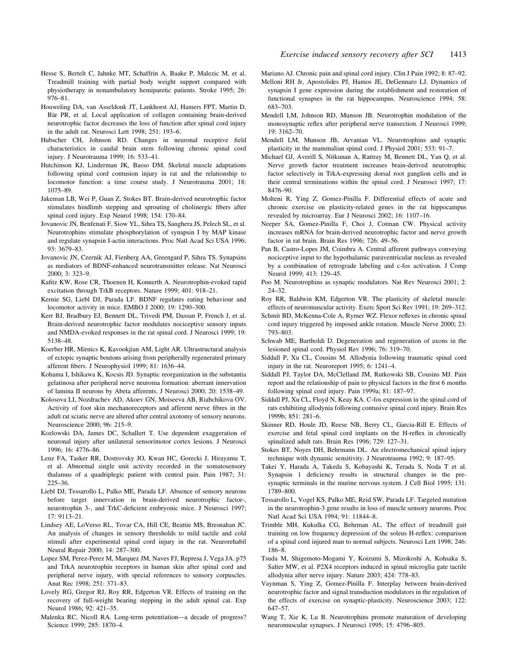- Hesse S, Bertelt C, Jahnke MT, Schaffrin A, Baake P, Malezic M, et al. Treadmill training with partial body weight support compared with physiotherapy in nonambulatory hemiparetic patients. Stroke 1995; 26: 976-81.
- Houweling DA, van Asseldonk JT, Lankhorst AJ, Hamers FPT, Martin D, Bär PR, et al. Local application of collagen containing brain-derived neurotrophic factor decreases the loss of function after spinal cord injury in the adult rat. Neurosci Lett 1998; 251: 193-6.
- Hubscher CH, Johnson RD. Changes in neuronal receptive field characteristics in caudal brain stem following chronic spinal cord injury. J Neurotrauma 1999; 16: 533-41.
- Hutchinson KJ, Linderman JK, Basso DM. Skeletal muscle adaptations following spinal cord contusion injury in rat and the relationship to locomotor function: a time course study. J Neurotrauma 2001; 18: 1075±89.
- Jakeman LB, Wei P, Guan Z, Stokes BT. Brain-derived neurotrophic factor stimulates hindlimb stepping and sprouting of cholinergic fibers after spinal cord injury. Exp Neurol 1998; 154: 170-84.
- Jovanovic JN, Benfenati F, Siow YL, Sihra TS, Sanghera JS, Pelech SL, et al. Neurotrophins stimulate phosphorylation of synapsin I by MAP kinase and regulate synapsin I-actin interactions. Proc Natl Acad Sci USA 1996; 93: 3679±83.
- Jovanovic JN, Czernik AJ, Fienberg AA, Greengard P, Sihra TS. Synapsins as mediators of BDNF-enhanced neurotransmitter release. Nat Neurosci 2000; 3: 323±9.
- Kafitz KW, Rose CR, Thoenen H, Konnerth A. Neurotrophin-evoked rapid excitation through TrkB receptors. Nature 1999; 401: 918-21.
- Kernie SG, Liebl DJ, Parada LF. BDNF regulates eating behaviour and locomotor activity in mice. EMBO J 2000; 19: 1290-300.
- Kerr BJ, Bradbury EJ, Bennett DL, Trivedi PM, Dassan P, French J, et al. Brain-derived neurotrophic factor modulates nociceptive sensory inputs and NMDA-evoked responses in the rat spinal cord. J Neurosci 1999; 19: 5138±48.
- Koerber HR, Mirnics K, Kavookjian AM, Light AR. Ultrastructural analysis of ectopic synaptic boutons arising from peripherally regenerated primary afferent fibers. J Neurophysiol 1999; 81: 1636-44.
- Kohama I, Ishikawa K, Kocsis JD. Synaptic reorganization in the substantia gelatinosa after peripheral nerve neuroma formation: aberrant innervation of lamina II neurons by Abeta afferents. J Neurosci 2000; 20: 1538-49.
- Kolosova LI, Nozdrachev AD, Akoev GN, Moiseeva AB, Riabchikova OV. Activity of foot skin mechanoreceptors and afferent nerve fibres in the adult rat sciatic nerve are altered after central axotomy of sensory neurons. Neuroscience 2000; 96: 215-9.
- Kozlowski DA, James DC, Schallert T. Use dependent exaggeration of neuronal injury after unilateral sensorimotor cortex lesions. J Neurosci 1996; 16: 4776-86.
- Lenz FA, Tasker RR, Dostrovsky JO, Kwan HC, Gorecki J, Hirayama T, et al. Abnormal single unit activity recorded in the somatosensory thalamus of a quadriplegic patient with central pain. Pain 1987; 31: 225±36.
- Liebl DJ, Tessarollo L, Palko ME, Parada LF. Absence of sensory neurons before target innervation in brain-derived neurotrophic factor-, neurotrophin 3-, and TrkC-deficient embryonic mice. J Neurosci 1997; 17: 9113±21.
- Lindsey AE, LoVerso RL, Tovar CA, Hill CE, Beattie MS, Bresnahan JC. An analysis of changes in sensory thresholds to mild tactile and cold stimuli after experimental spinal cord injury in the rat. Neurorehabil Neural Repair 2000; 14: 287-300.
- Lopez SM, Perez-Perez M, Marquez JM, Naves FJ, Represa J, Vega JA. p75 and TrkA neurotrophin receptors in human skin after spinal cord and peripheral nerve injury, with special references to sensory corpuscles. Anat Rec 1998; 251: 371-83.
- Lovely RG, Gregor RJ, Roy RR, Edgerton VR. Effects of training on the recovery of full-weight bearing stepping in the adult spinal cat. Exp Neurol 1986; 92: 421-35.
- Malenka RC, Nicoll RA. Long-term potentiation—a decade of progress? Science 1999; 285: 1870-4.
- Mariano AJ. Chronic pain and spinal cord injury. Clin J Pain 1992: 8: 87–92.
- Melloni RH Jr, Apostolides PJ, Hamos JE, DeGennaro LJ. Dynamics of synapsin I gene expression during the establishment and restoration of functional synapses in the rat hippocampus. Neuroscience 1994; 58: 683±703.
- Mendell LM, Johnson RD, Munson JB. Neurotrophin modulation of the monosynaptic reflex after peripheral nerve transection. J Neurosci 1999; 19: 3162±70.
- Mendell LM, Munson JB, Arvanian VL. Neurotrophins and synaptic plasticity in the mammalian spinal cord. J Physiol  $2001$ : 533: 91–7.
- Michael GJ, Averill S, Nitkunan A, Rattray M, Bennett DL, Yan Q, et al. Nerve growth factor treatment increases brain-derived neurotrophic factor selectively in TrkA-expressing dorsal root ganglion cells and in their central terminations within the spinal cord. J Neurosci 1997; 17: 8476±90.
- Molteni R, Ying Z, Gomez-Pinilla F. Differential effects of acute and chronic exercise on plasticity-related genes in the rat hippocampus revealed by microarray. Eur J Neurosci 2002; 16: 1107-16.
- Neeper SA, Gomez-Pinilla F, Choi J, Cotman CW. Physical activity increases mRNA for brain-derived neurotrophic factor and nerve growth factor in rat brain. Brain Res 1996; 726: 49-56.
- Pan B, Castro-Lopes JM, Coimbra A. Central afferent pathways conveying nociceptive input to the hypothalamic paraventricular nucleus as revealed by a combination of retrograde labeling and c-fos activation. J Comp Neurol 1999; 413: 129-45.
- Poo M. Neurotrophins as synaptic modulators. Nat Rev Neurosci 2001; 2:  $24 - 32.$
- Roy RR, Baldwin KM, Edgerton VR. The plasticity of skeletal muscle: effects of neuromuscular activity. Exerc Sport Sci Rev 1991; 19: 269-312.
- Schmit BD, McKenna-Cole A, Rymer WZ. Flexor reflexes in chronic spinal cord injury triggered by imposed ankle rotation. Muscle Nerve 2000; 23: 793±803.
- Schwab ME, Bartholdi D. Degeneration and regeneration of axons in the lesioned spinal cord. Physiol Rev 1996; 76: 319 $-70$ .
- Siddall P, Xu CL, Cousins M. Allodynia following traumatic spinal cord injury in the rat. Neuroreport  $1995$ ; 6:  $1241-4$ .
- Siddall PJ, Taylor DA, McClelland JM, Rutkowski SB, Cousins MJ. Pain report and the relationship of pain to physical factors in the first 6 months following spinal cord injury. Pain 1999a; 81: 187-97.
- Siddall PJ, Xu CL, Floyd N, Keay KA. C-fos expression in the spinal cord of rats exhibiting allodynia following contusive spinal cord injury. Brain Res 1999b; 851: 281-6.
- Skinner RD, Houle JD, Reese NB, Berry CL, Garcia-Rill E. Effects of exercise and fetal spinal cord implants on the H-reflex in chronically spinalized adult rats. Brain Res 1996; 729: 127-31.
- Stokes BT, Noyes DH, Behrmann DL. An electromechanical spinal injury technique with dynamic sensitivity. J Neurotrauma 1992; 9: 187-95.
- Takei Y, Harada A, Takeda S, Kobayashi K, Terada S, Noda T et al. Synapsin 1 deficiency results in structural changes in the presynaptic terminals in the murine nervous system. J Cell Biol 1995; 131: 1789±800.
- Tessarollo L, Vogel KS, Palko ME, Reid SW, Parada LF. Targeted mutation in the neurotrophin-3 gene results in loss of muscle sensory neurons. Proc Natl Acad Sci USA 1994; 91: 11844-8.
- Trimble MH, Kukulka CG, Behrman AL. The effect of treadmill gait training on low frequency depression of the soleus H-reflex: comparison of a spinal cord injured man to normal subjects. Neurosci Lett 1998; 246: 186±8.
- Tsuda M, Shigemoto-Mogami Y, Koizumi S, Mizokoshi A, Kohsaka S, Salter MW, et al. P2X4 receptors induced in spinal microglia gate tactile allodynia after nerve injury. Nature 2003; 424: 778-83.
- Vaynman S, Ying Z, Gomez-Pinilla F. Interplay between brain-derived neurotrophic factor and signal transduction modulators in the regulation of the effects of exercise on synaptic-plasticity. Neuroscience 2003; 122: 647±57.
- Wang T, Xie K, Lu B. Neurotrophins promote maturation of developing neuromuscular synapses. J Neurosci 1995; 15: 4796-805.